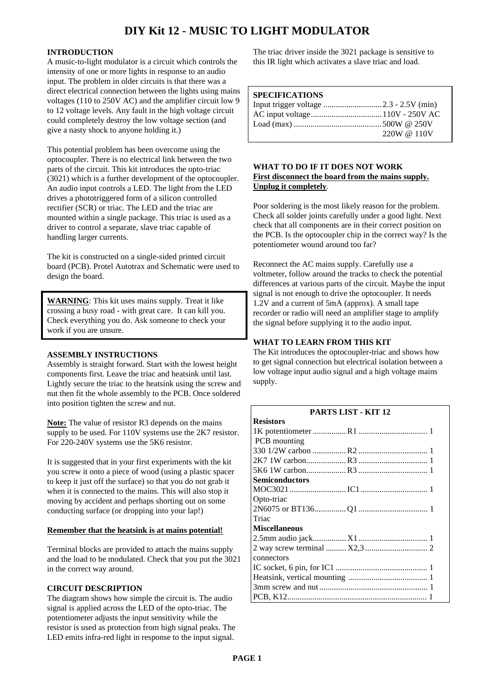# **DIY Kit 12 - MUSIC TO LIGHT MODULATOR**

#### **INTRODUCTION**

A music-to-light modulator is a circuit which controls the intensity of one or more lights in response to an audio input. The problem in older circuits is that there was a direct electrical connection between the lights using mains voltages (110 to 250V AC) and the amplifier circuit low 9 to 12 voltage levels. Any fault in the high voltage circuit could completely destroy the low voltage section (and give a nasty shock to anyone holding it.)

This potential problem has been overcome using the optocoupler. There is no electrical link between the two parts of the circuit. This kit introduces the opto-triac (3021) which is a further development of the optocoupler. An audio input controls a LED. The light from the LED drives a phototriggered form of a silicon controlled rectifier (SCR) or triac. The LED and the triac are mounted within a single package. This triac is used as a driver to control a separate, slave triac capable of handling larger currents.

The kit is constructed on a single-sided printed circuit board (PCB). Protel Autotrax and Schematic were used to design the board.

**WARNING**: This kit uses mains supply. Treat it like crossing a busy road - with great care. It can kill you. Check everything you do. Ask someone to check your work if you are unsure.

#### **ASSEMBLY INSTRUCTIONS**

Assembly is straight forward. Start with the lowest height components first. Leave the triac and heatsink until last. Lightly secure the triac to the heatsink using the screw and nut then fit the whole assembly to the PCB. Once soldered into position tighten the screw and nut.

**Note:** The value of resistor R3 depends on the mains supply to be used. For 110V systems use the 2K7 resistor. For 220-240V systems use the 5K6 resistor.

It is suggested that in your first experiments with the kit you screw it onto a piece of wood (using a plastic spacer to keep it just off the surface) so that you do not grab it when it is connected to the mains. This will also stop it moving by accident and perhaps shorting out on some conducting surface (or dropping into your lap!)

#### **Remember that the heatsink is at mains potential!**

Terminal blocks are provided to attach the mains supply and the load to be modulated. Check that you put the 3021 in the correct way around.

#### **CIRCUIT DESCRIPTION**

The diagram shows how simple the circuit is. The audio signal is applied across the LED of the opto-triac. The potentiometer adjusts the input sensitivity while the resistor is used as protection from high signal peaks. The LED emits infra-red light in response to the input signal.

The triac driver inside the 3021 package is sensitive to this IR light which activates a slave triac and load.

#### **SPECIFICATIONS**

| $220W \& 110V$ |
|----------------|

#### **WHAT TO DO IF IT DOES NOT WORK First disconnect the board from the mains supply. Unplug it completely**.

Poor soldering is the most likely reason for the problem. Check all solder joints carefully under a good light. Next check that all components are in their correct position on the PCB. Is the optocoupler chip in the correct way? Is the potentiometer wound around too far?

Reconnect the AC mains supply. Carefully use a voltmeter, follow around the tracks to check the potential differences at various parts of the circuit. Maybe the input signal is not enough to drive the optocoupler. It needs 1.2V and a current of 5mA (approx). A small tape recorder or radio will need an amplifier stage to amplify the signal before supplying it to the audio input.

### **WHAT TO LEARN FROM THIS KIT**

The Kit introduces the optocoupler-triac and shows how to get signal connection but electrical isolation between a low voltage input audio signal and a high voltage mains supply.

| <b>PARTS LIST - KIT 12</b> |  |
|----------------------------|--|
| <b>Resistors</b>           |  |
|                            |  |
| PCB mounting               |  |
|                            |  |
|                            |  |
|                            |  |
| <b>Semiconductors</b>      |  |
|                            |  |
| Opto-triac                 |  |
|                            |  |
| Triac                      |  |
| <b>Miscellaneous</b>       |  |
|                            |  |
|                            |  |
| connectors                 |  |
|                            |  |
|                            |  |
|                            |  |
|                            |  |